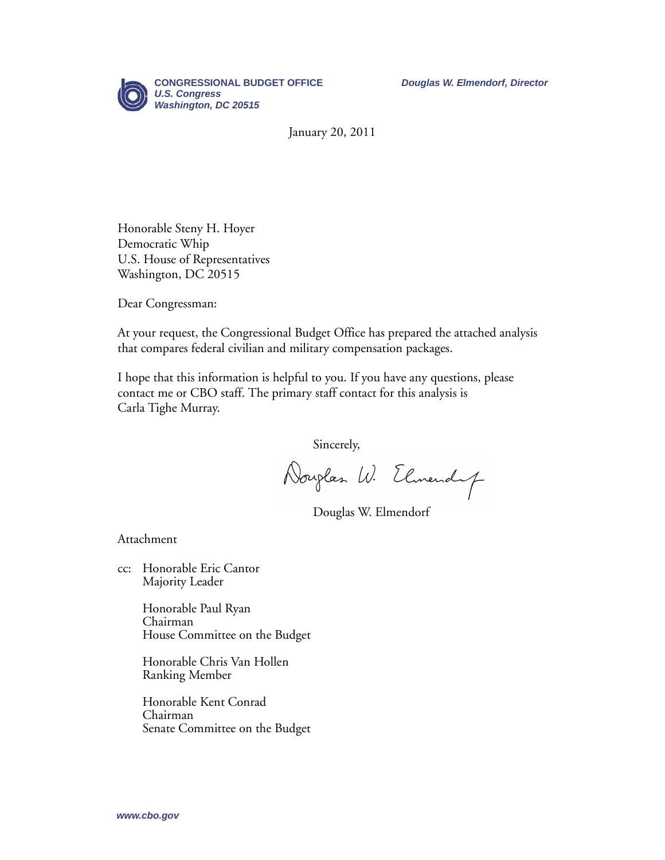

January 20, 2011

Honorable Steny H. Hoyer Democratic Whip U.S. House of Representatives Washington, DC 20515

Dear Congressman:

At your request, the Congressional Budget Office has prepared the attached analysis that compares federal civilian and military compensation packages.

I hope that this information is helpful to you. If you have any questions, please contact me or CBO staff. The primary staff contact for this analysis is Carla Tighe Murray.

Sincerely,

Douglas W. Elmendup

Douglas W. Elmendorf

Attachment

cc: Honorable Eric Cantor Majority Leader

> Honorable Paul Ryan Chairman House Committee on the Budget

Honorable Chris Van Hollen Ranking Member

Honorable Kent Conrad Chairman Senate Committee on the Budget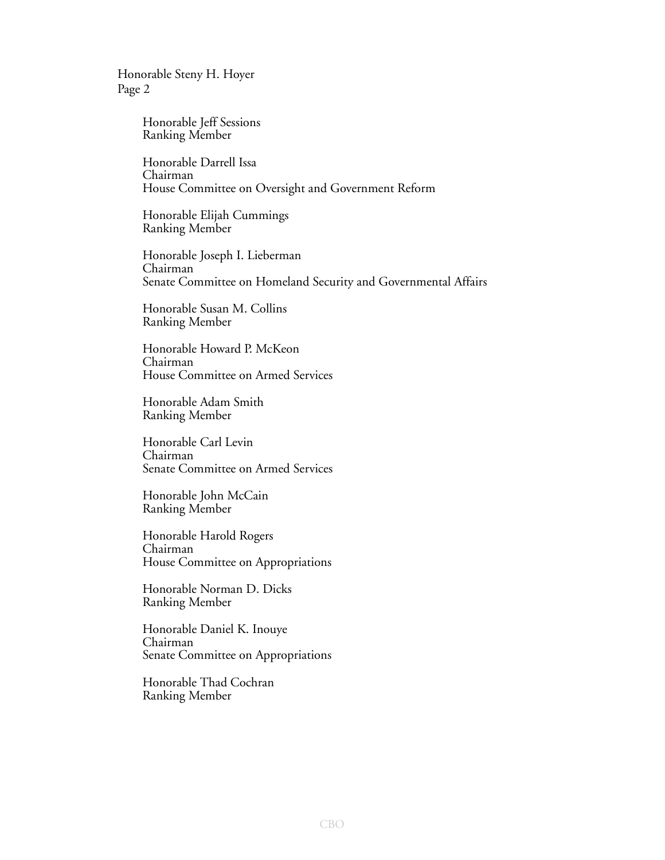Honorable Steny H. Hoyer Page 2

> Honorable Jeff Sessions Ranking Member

Honorable Darrell Issa Chairman House Committee on Oversight and Government Reform

Honorable Elijah Cummings Ranking Member

Honorable Joseph I. Lieberman Chairman Senate Committee on Homeland Security and Governmental Affairs

Honorable Susan M. Collins Ranking Member

Honorable Howard P. McKeon Chairman House Committee on Armed Services

Honorable Adam Smith Ranking Member

Honorable Carl Levin Chairman Senate Committee on Armed Services

Honorable John McCain Ranking Member

Honorable Harold Rogers Chairman House Committee on Appropriations

Honorable Norman D. Dicks Ranking Member

Honorable Daniel K. Inouye Chairman Senate Committee on Appropriations

Honorable Thad Cochran Ranking Member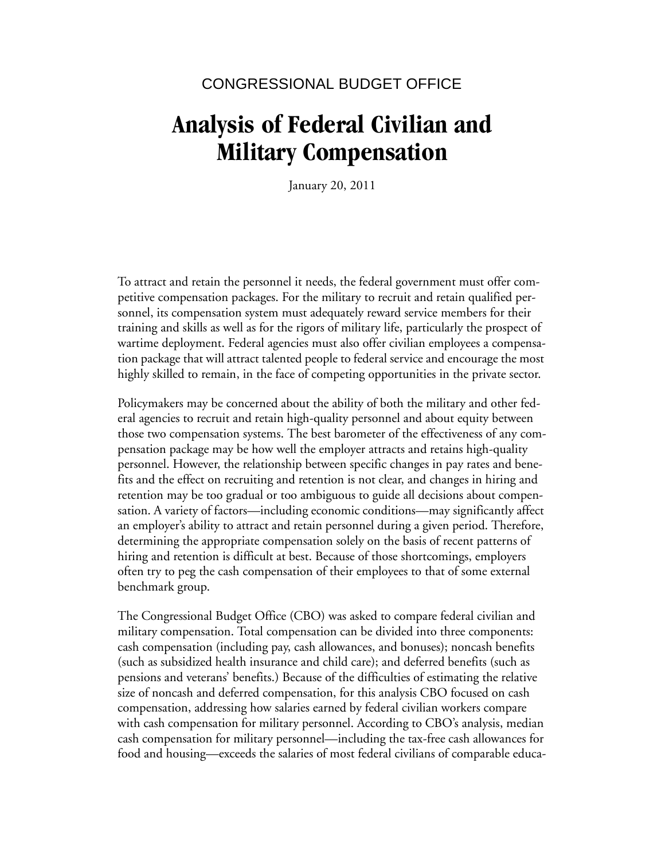#### CONGRESSIONAL BUDGET OFFICE

# **Analysis of Federal Civilian and Military Compensation**

January 20, 2011

To attract and retain the personnel it needs, the federal government must offer competitive compensation packages. For the military to recruit and retain qualified personnel, its compensation system must adequately reward service members for their training and skills as well as for the rigors of military life, particularly the prospect of wartime deployment. Federal agencies must also offer civilian employees a compensation package that will attract talented people to federal service and encourage the most highly skilled to remain, in the face of competing opportunities in the private sector.

Policymakers may be concerned about the ability of both the military and other federal agencies to recruit and retain high-quality personnel and about equity between those two compensation systems. The best barometer of the effectiveness of any compensation package may be how well the employer attracts and retains high-quality personnel. However, the relationship between specific changes in pay rates and benefits and the effect on recruiting and retention is not clear, and changes in hiring and retention may be too gradual or too ambiguous to guide all decisions about compensation. A variety of factors—including economic conditions—may significantly affect an employer's ability to attract and retain personnel during a given period. Therefore, determining the appropriate compensation solely on the basis of recent patterns of hiring and retention is difficult at best. Because of those shortcomings, employers often try to peg the cash compensation of their employees to that of some external benchmark group.

The Congressional Budget Office (CBO) was asked to compare federal civilian and military compensation. Total compensation can be divided into three components: cash compensation (including pay, cash allowances, and bonuses); noncash benefits (such as subsidized health insurance and child care); and deferred benefits (such as pensions and veterans' benefits.) Because of the difficulties of estimating the relative size of noncash and deferred compensation, for this analysis CBO focused on cash compensation, addressing how salaries earned by federal civilian workers compare with cash compensation for military personnel. According to CBO's analysis, median cash compensation for military personnel—including the tax-free cash allowances for food and housing—exceeds the salaries of most federal civilians of comparable educa-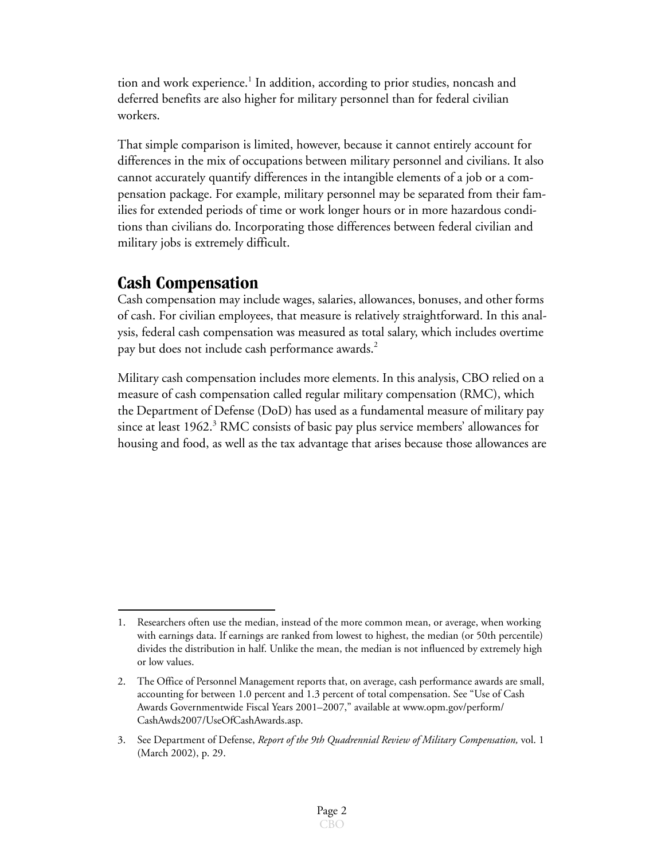tion and work experience.<sup>1</sup> In addition, according to prior studies, noncash and deferred benefits are also higher for military personnel than for federal civilian workers.

That simple comparison is limited, however, because it cannot entirely account for differences in the mix of occupations between military personnel and civilians. It also cannot accurately quantify differences in the intangible elements of a job or a compensation package. For example, military personnel may be separated from their families for extended periods of time or work longer hours or in more hazardous conditions than civilians do. Incorporating those differences between federal civilian and military jobs is extremely difficult.

### **Cash Compensation**

Cash compensation may include wages, salaries, allowances, bonuses, and other forms of cash. For civilian employees, that measure is relatively straightforward. In this analysis, federal cash compensation was measured as total salary, which includes overtime pay but does not include cash performance awards.<sup>2</sup>

Military cash compensation includes more elements. In this analysis, CBO relied on a measure of cash compensation called regular military compensation (RMC), which the Department of Defense (DoD) has used as a fundamental measure of military pay since at least 1962.<sup>3</sup> RMC consists of basic pay plus service members' allowances for housing and food, as well as the tax advantage that arises because those allowances are

<sup>1.</sup> Researchers often use the median, instead of the more common mean, or average, when working with earnings data. If earnings are ranked from lowest to highest, the median (or 50th percentile) divides the distribution in half. Unlike the mean, the median is not influenced by extremely high or low values.

<sup>2.</sup> The Office of Personnel Management reports that, on average, cash performance awards are small, accounting for between 1.0 percent and 1.3 percent of total compensation. See "Use of Cash Awards Governmentwide Fiscal Years 2001–2007," available at www.opm.gov/perform/ CashAwds2007/UseOfCashAwards.asp.

<sup>3.</sup> See Department of Defense, *Report of the 9th Quadrennial Review of Military Compensation,* vol. 1 (March 2002), p. 29.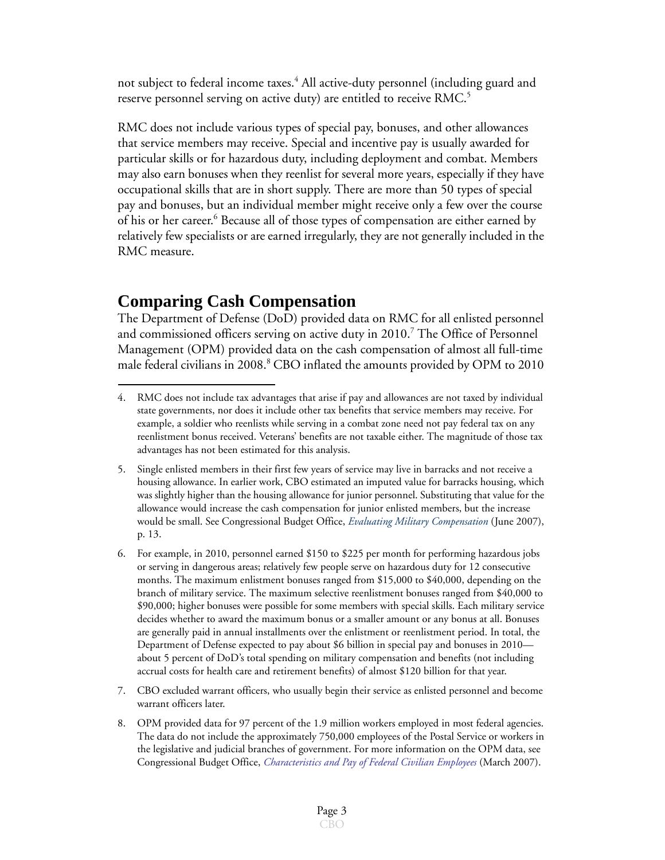not subject to federal income taxes.<sup>4</sup> All active-duty personnel (including guard and reserve personnel serving on active duty) are entitled to receive RMC.<sup>5</sup>

RMC does not include various types of special pay, bonuses, and other allowances that service members may receive. Special and incentive pay is usually awarded for particular skills or for hazardous duty, including deployment and combat. Members may also earn bonuses when they reenlist for several more years, especially if they have occupational skills that are in short supply. There are more than 50 types of special pay and bonuses, but an individual member might receive only a few over the course of his or her career.<sup>6</sup> Because all of those types of compensation are either earned by relatively few specialists or are earned irregularly, they are not generally included in the RMC measure.

### **Comparing Cash Compensation**

The Department of Defense (DoD) provided data on RMC for all enlisted personnel and commissioned officers serving on active duty in 2010.<sup>7</sup> The Office of Personnel Management (OPM) provided data on the cash compensation of almost all full-time male federal civilians in 2008.<sup>8</sup> CBO inflated the amounts provided by OPM to 2010

- 7. CBO excluded warrant officers, who usually begin their service as enlisted personnel and become warrant officers later.
- 8. OPM provided data for 97 percent of the 1.9 million workers employed in most federal agencies. The data do not include the approximately 750,000 employees of the Postal Service or workers in the legislative and judicial branches of government. For more information on the OPM data, see Congressional Budget Office, *[Characteristics and Pay of Federal Civilian Employees](http://www.cbo.gov/ftpdocs/78xx/doc7874/03-15-Federal_Personnel.pdf)* (March 2007).

<sup>4.</sup> RMC does not include tax advantages that arise if pay and allowances are not taxed by individual state governments, nor does it include other tax benefits that service members may receive. For example, a soldier who reenlists while serving in a combat zone need not pay federal tax on any reenlistment bonus received. Veterans' benefits are not taxable either. The magnitude of those tax advantages has not been estimated for this analysis.

<sup>5.</sup> Single enlisted members in their first few years of service may live in barracks and not receive a housing allowance. In earlier work, CBO estimated an imputed value for barracks housing, which was slightly higher than the housing allowance for junior personnel. Substituting that value for the allowance would increase the cash compensation for junior enlisted members, but the increase would be small. See Congressional Budget Office, *[Evaluating Military Compensation](http://www.cbo.gov/doc.cfm?index=8271&zzz=35317)* (June 2007), p. 13.

<sup>6.</sup> For example, in 2010, personnel earned \$150 to \$225 per month for performing hazardous jobs or serving in dangerous areas; relatively few people serve on hazardous duty for 12 consecutive months. The maximum enlistment bonuses ranged from \$15,000 to \$40,000, depending on the branch of military service. The maximum selective reenlistment bonuses ranged from \$40,000 to \$90,000; higher bonuses were possible for some members with special skills. Each military service decides whether to award the maximum bonus or a smaller amount or any bonus at all. Bonuses are generally paid in annual installments over the enlistment or reenlistment period. In total, the Department of Defense expected to pay about \$6 billion in special pay and bonuses in 2010 about 5 percent of DoD's total spending on military compensation and benefits (not including accrual costs for health care and retirement benefits) of almost \$120 billion for that year.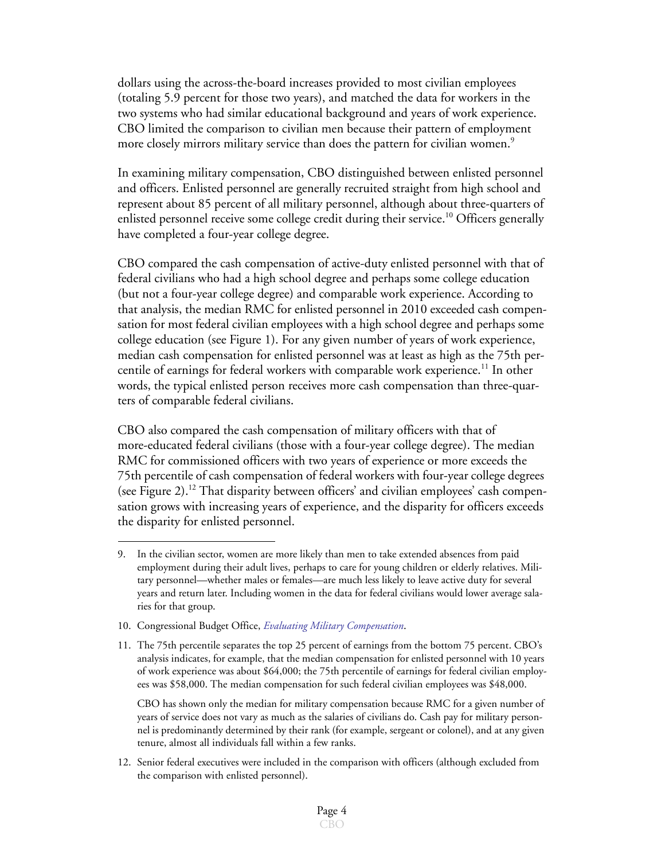dollars using the across-the-board increases provided to most civilian employees (totaling 5.9 percent for those two years), and matched the data for workers in the two systems who had similar educational background and years of work experience. CBO limited the comparison to civilian men because their pattern of employment more closely mirrors military service than does the pattern for civilian women.<sup>9</sup>

In examining military compensation, CBO distinguished between enlisted personnel and officers. Enlisted personnel are generally recruited straight from high school and represent about 85 percent of all military personnel, although about three-quarters of enlisted personnel receive some college credit during their service.<sup>10</sup> Officers generally have completed a four-year college degree.

CBO compared the cash compensation of active-duty enlisted personnel with that of federal civilians who had a high school degree and perhaps some college education (but not a four-year college degree) and comparable work experience. According to that analysis, the median RMC for enlisted personnel in 2010 exceeded cash compensation for most federal civilian employees with a high school degree and perhaps some college education (see [Figure 1\)](#page-6-0). For any given number of years of work experience, median cash compensation for enlisted personnel was at least as high as the 75th percentile of earnings for federal workers with comparable work experience.<sup>11</sup> In other words, the typical enlisted person receives more cash compensation than three-quarters of comparable federal civilians.

CBO also compared the cash compensation of military officers with that of more-educated federal civilians (those with a four-year college degree). The median RMC for commissioned officers with two years of experience or more exceeds the 75th percentile of cash compensation of federal workers with four-year college degrees (see [Figure 2\)](#page-7-0).<sup>12</sup> That disparity between officers' and civilian employees' cash compensation grows with increasing years of experience, and the disparity for officers exceeds the disparity for enlisted personnel.

- 10. Congressional Budget Office, *[Evaluating Military Compensation](http://www.cbo.gov/doc.cfm?index=8271&zzz=35317)*.
- 11. The 75th percentile separates the top 25 percent of earnings from the bottom 75 percent. CBO's analysis indicates, for example, that the median compensation for enlisted personnel with 10 years of work experience was about \$64,000; the 75th percentile of earnings for federal civilian employees was \$58,000. The median compensation for such federal civilian employees was \$48,000.

CBO has shown only the median for military compensation because RMC for a given number of years of service does not vary as much as the salaries of civilians do. Cash pay for military personnel is predominantly determined by their rank (for example, sergeant or colonel), and at any given tenure, almost all individuals fall within a few ranks.

12. Senior federal executives were included in the comparison with officers (although excluded from the comparison with enlisted personnel).

<sup>9.</sup> In the civilian sector, women are more likely than men to take extended absences from paid employment during their adult lives, perhaps to care for young children or elderly relatives. Military personnel—whether males or females—are much less likely to leave active duty for several years and return later. Including women in the data for federal civilians would lower average salaries for that group.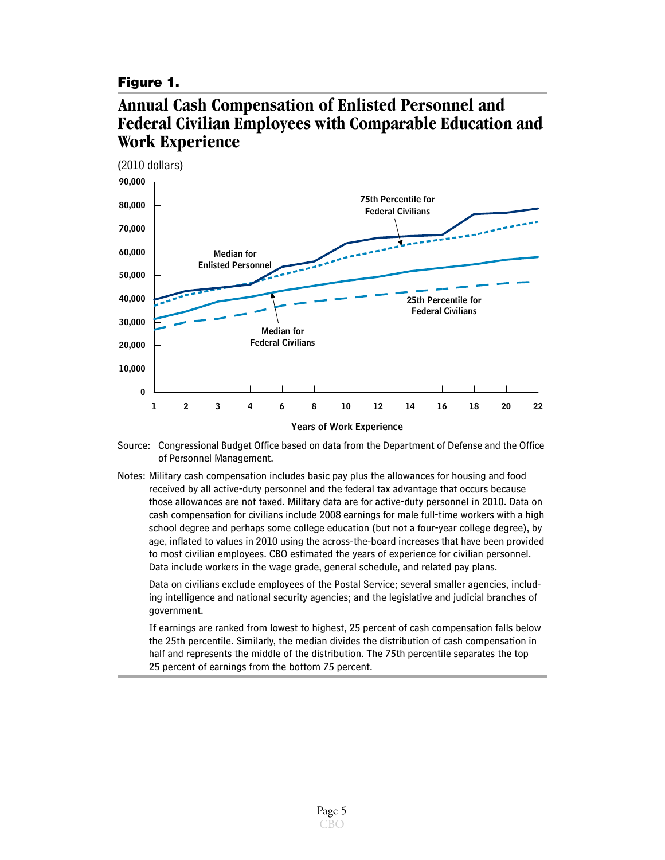#### <span id="page-6-0"></span>**Figure 1.**

## **Annual Cash Compensation of Enlisted Personnel and Federal Civilian Employees with Comparable Education and Work Experience**



- Source: Congressional Budget Office based on data from the Department of Defense and the Office of Personnel Management.
- Notes: Military cash compensation includes basic pay plus the allowances for housing and food received by all active-duty personnel and the federal tax advantage that occurs because those allowances are not taxed. Military data are for active-duty personnel in 2010. Data on cash compensation for civilians include 2008 earnings for male full-time workers with a high school degree and perhaps some college education (but not a four-year college degree), by age, inflated to values in 2010 using the across-the-board increases that have been provided to most civilian employees. CBO estimated the years of experience for civilian personnel. Data include workers in the wage grade, general schedule, and related pay plans.

Data on civilians exclude employees of the Postal Service; several smaller agencies, including intelligence and national security agencies; and the legislative and judicial branches of government.

If earnings are ranked from lowest to highest, 25 percent of cash compensation falls below the 25th percentile. Similarly, the median divides the distribution of cash compensation in half and represents the middle of the distribution. The 75th percentile separates the top 25 percent of earnings from the bottom 75 percent.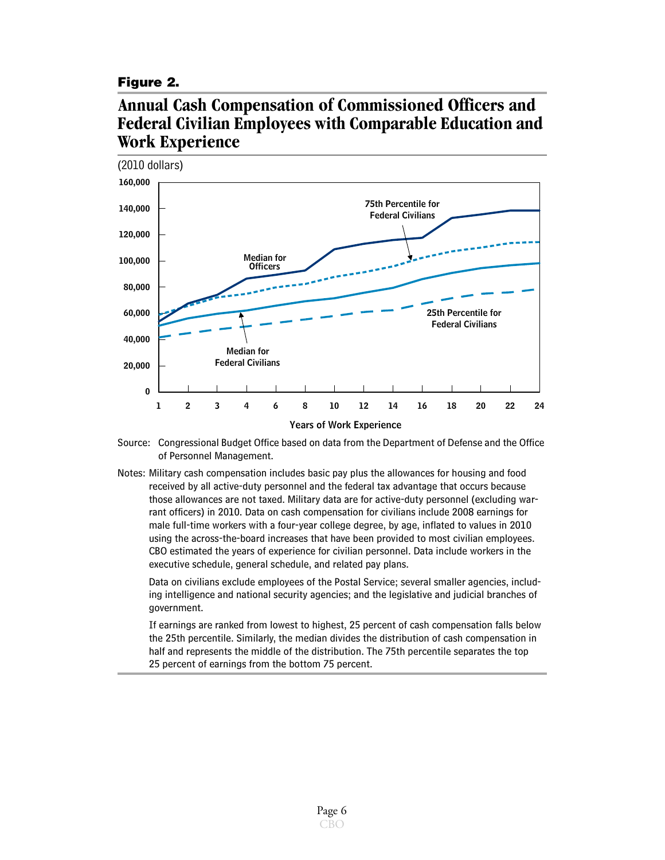#### <span id="page-7-0"></span>**Figure 2.**

## **Annual Cash Compensation of Commissioned Officers and Federal Civilian Employees with Comparable Education and Work Experience**



- Source: Congressional Budget Office based on data from the Department of Defense and the Office of Personnel Management.
- Notes: Military cash compensation includes basic pay plus the allowances for housing and food received by all active-duty personnel and the federal tax advantage that occurs because those allowances are not taxed. Military data are for active-duty personnel (excluding warrant officers) in 2010. Data on cash compensation for civilians include 2008 earnings for male full-time workers with a four-year college degree, by age, inflated to values in 2010 using the across-the-board increases that have been provided to most civilian employees. CBO estimated the years of experience for civilian personnel. Data include workers in the executive schedule, general schedule, and related pay plans.

Data on civilians exclude employees of the Postal Service; several smaller agencies, including intelligence and national security agencies; and the legislative and judicial branches of government.

If earnings are ranked from lowest to highest, 25 percent of cash compensation falls below the 25th percentile. Similarly, the median divides the distribution of cash compensation in half and represents the middle of the distribution. The 75th percentile separates the top 25 percent of earnings from the bottom 75 percent.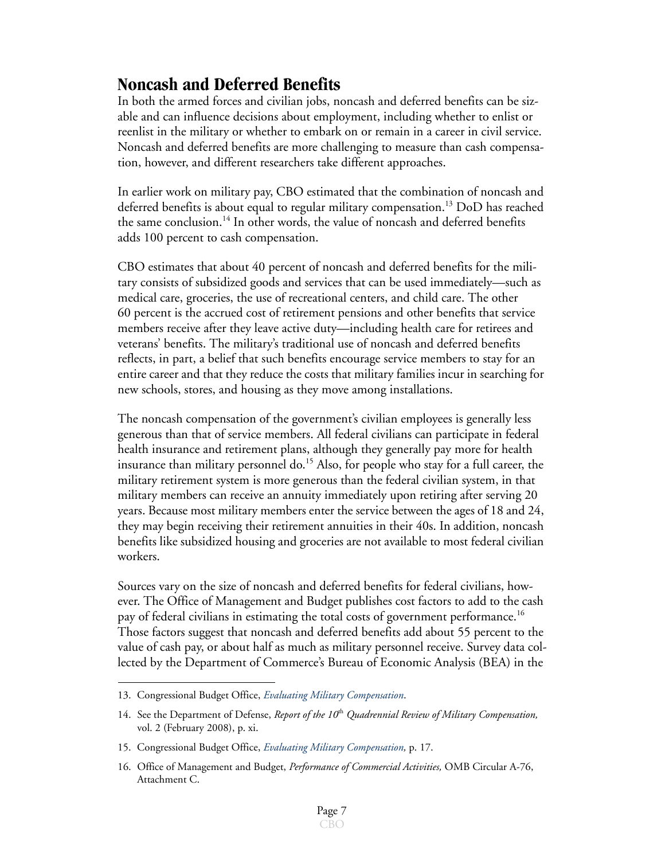## **Noncash and Deferred Benefits**

In both the armed forces and civilian jobs, noncash and deferred benefits can be sizable and can influence decisions about employment, including whether to enlist or reenlist in the military or whether to embark on or remain in a career in civil service. Noncash and deferred benefits are more challenging to measure than cash compensation, however, and different researchers take different approaches.

In earlier work on military pay, CBO estimated that the combination of noncash and deferred benefits is about equal to regular military compensation.13 DoD has reached the same conclusion.<sup>14</sup> In other words, the value of noncash and deferred benefits adds 100 percent to cash compensation.

CBO estimates that about 40 percent of noncash and deferred benefits for the military consists of subsidized goods and services that can be used immediately—such as medical care, groceries, the use of recreational centers, and child care. The other 60 percent is the accrued cost of retirement pensions and other benefits that service members receive after they leave active duty—including health care for retirees and veterans' benefits. The military's traditional use of noncash and deferred benefits reflects, in part, a belief that such benefits encourage service members to stay for an entire career and that they reduce the costs that military families incur in searching for new schools, stores, and housing as they move among installations.

The noncash compensation of the government's civilian employees is generally less generous than that of service members. All federal civilians can participate in federal health insurance and retirement plans, although they generally pay more for health insurance than military personnel do.<sup>15</sup> Also, for people who stay for a full career, the military retirement system is more generous than the federal civilian system, in that military members can receive an annuity immediately upon retiring after serving 20 years. Because most military members enter the service between the ages of 18 and 24, they may begin receiving their retirement annuities in their 40s. In addition, noncash benefits like subsidized housing and groceries are not available to most federal civilian workers.

Sources vary on the size of noncash and deferred benefits for federal civilians, however. The Office of Management and Budget publishes cost factors to add to the cash pay of federal civilians in estimating the total costs of government performance.<sup>16</sup> Those factors suggest that noncash and deferred benefits add about 55 percent to the value of cash pay, or about half as much as military personnel receive. Survey data collected by the Department of Commerce's Bureau of Economic Analysis (BEA) in the

<sup>13.</sup> Congressional Budget Office, *[Evaluating Military Compensation](http://www.cbo.gov/doc.cfm?index=8271&zzz=35317)*.

<sup>14.</sup> See the Department of Defense, *Report of the 10*th *Quadrennial Review of Military Compensation,*  vol. 2 (February 2008), p. xi.

<sup>15.</sup> Congressional Budget Office, *Evaluating Military Compensation,* p. 17.

<sup>16.</sup> Office of Management and Budget, *Performance of Commercial Activities,* OMB Circular A-76, Attachment C.